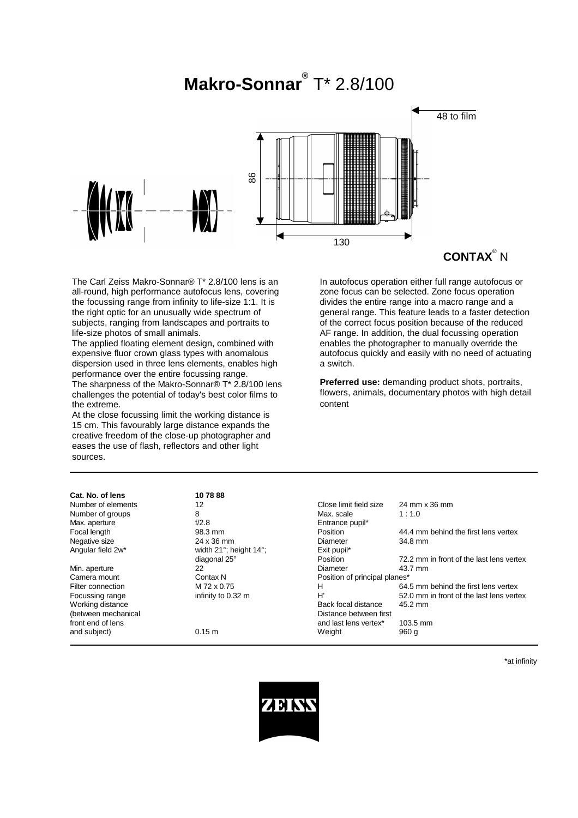# **Makro-Sonnar®** T\* 2.8/100



The Carl Zeiss Makro-Sonnar® T\* 2.8/100 lens is an all-round, high performance autofocus lens, covering the focussing range from infinity to life-size 1:1. It is the right optic for an unusually wide spectrum of subjects, ranging from landscapes and portraits to life-size photos of small animals.

The applied floating element design, combined with expensive fluor crown glass types with anomalous dispersion used in three lens elements, enables high performance over the entire focussing range. The sharpness of the Makro-Sonnar® T\* 2.8/100 lens challenges the potential of today's best color films to the extreme.

At the close focussing limit the working distance is 15 cm. This favourably large distance expands the creative freedom of the close-up photographer and eases the use of flash, reflectors and other light sources.

In autofocus operation either full range autofocus or zone focus can be selected. Zone focus operation divides the entire range into a macro range and a general range. This feature leads to a faster detection of the correct focus position because of the reduced AF range. In addition, the dual focussing operation enables the photographer to manually override the autofocus quickly and easily with no need of actuating a switch.

**Preferred use:** demanding product shots, portraits, flowers, animals, documentary photos with high detail content

| Cat. No. of lens    | 107888                                 |                               |                                          |
|---------------------|----------------------------------------|-------------------------------|------------------------------------------|
| Number of elements  | 12                                     | Close limit field size        | 24 mm x 36 mm                            |
| Number of groups    | 8                                      | Max. scale                    | 1:1.0                                    |
| Max. aperture       | f/2.8                                  | Entrance pupil*               |                                          |
| Focal length        | 98.3 mm                                | Position                      | 44.4 mm behind the first lens vertex     |
| Negative size       | 24 x 36 mm                             | Diameter                      | 34.8 mm                                  |
| Angular field 2w*   | width $21^\circ$ ; height $14^\circ$ ; | Exit pupil*                   |                                          |
|                     | diagonal 25°                           | Position                      | 72.2 mm in front of the last lens vertex |
| Min. aperture       | 22                                     | Diameter                      | 43.7 mm                                  |
| Camera mount        | Contax N                               | Position of principal planes* |                                          |
| Filter connection   | M 72 x 0.75                            | н                             | 64.5 mm behind the first lens vertex     |
| Focussing range     | infinity to 0.32 m                     | H'                            | 52.0 mm in front of the last lens vertex |
| Working distance    |                                        | Back focal distance           | 45.2 mm                                  |
| (between mechanical |                                        | Distance between first        |                                          |
| front end of lens   |                                        | and last lens vertex*         | 103.5 mm                                 |
| and subject)        | 0.15 m                                 | Weight                        | 960 g                                    |

\*at infinity

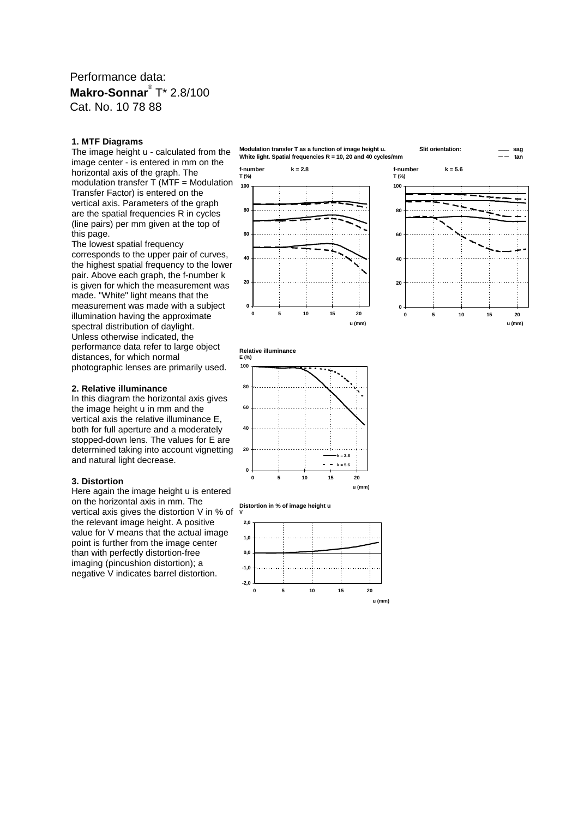## Performance data: **Makro-Sonnar**® T\* 2.8/100 Cat. No. 10 78 88

#### **1. MTF Diagrams**

The image height u - calculated from the image center - is entered in mm on the horizontal axis of the graph. The modulation transfer T (MTF = Modulation Transfer Factor) is entered on the vertical axis. Parameters of the graph are the spatial frequencies R in cycles (line pairs) per mm given at the top of this page.

The lowest spatial frequency corresponds to the upper pair of curves, the highest spatial frequency to the lower pair. Above each graph, the f-number k is given for which the measurement was made. "White" light means that the measurement was made with a subject illumination having the approximate spectral distribution of daylight. Unless otherwise indicated, the performance data refer to large object distances, for which normal photographic lenses are primarily used.

## **2. Relative illuminance**

In this diagram the horizontal axis gives the image height u in mm and the vertical axis the relative illuminance E, both for full aperture and a moderately stopped-down lens. The values for E are determined taking into account vignetting and natural light decrease.

#### **3. Distortion**

Here again the image height u is entered on the horizontal axis in mm. The vertical axis gives the distortion V in % of the relevant image height. A positive value for V means that the actual image point is further from the image center than with perfectly distortion-free imaging (pincushion distortion); a negative V indicates barrel distortion.

**Modulation transfer T as a function of image height u. Slit orientation: sag White light. Spatial frequencies R = 10, 20 and 40 cycles/mm tan**





**Relative illuminance E (%)**

**0**

**20**

**40**

**60**

**80**

**100**



**0 5 10 15 20**



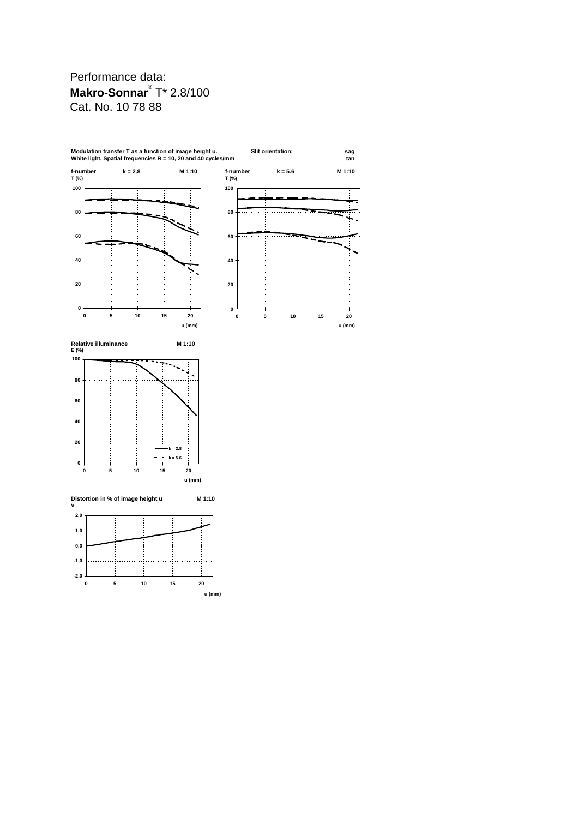# Performance data: **Makro-Sonnar**® T\* 2.8/100 Cat. No. 10 78 88